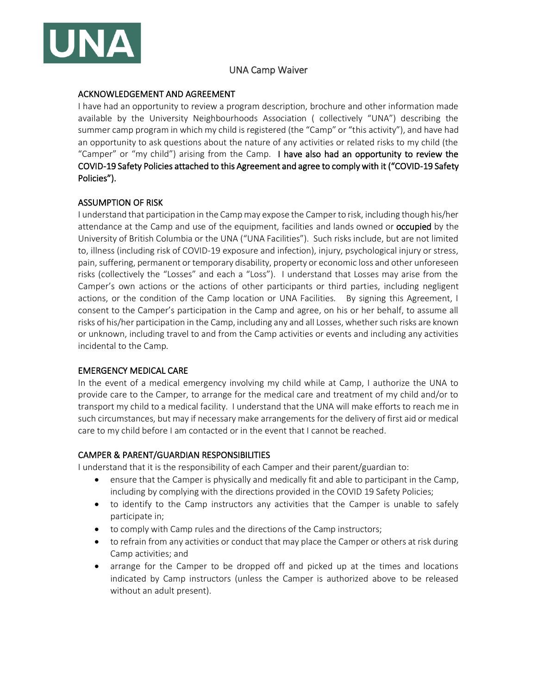

# UNA Camp Waiver

## ACKNOWLEDGEMENT AND AGREEMENT

I have had an opportunity to review a program description, brochure and other information made available by the University Neighbourhoods Association ( collectively "UNA") describing the summer camp program in which my child is registered (the "Camp" or "this activity"), and have had an opportunity to ask questions about the nature of any activities or related risks to my child (the "Camper" or "my child") arising from the Camp. I have also had an opportunity to review the COVID-19 Safety Policies attached to this Agreement and agree to comply with it ("COVID-19 Safety Policies").

# ASSUMPTION OF RISK

I understand that participation in the Camp may expose the Camper to risk, including though his/her attendance at the Camp and use of the equipment, facilities and lands owned or **occupied** by the University of British Columbia or the UNA ("UNA Facilities"). Such risks include, but are not limited to, illness (including risk of COVID-19 exposure and infection), injury, psychological injury or stress, pain, suffering, permanent or temporary disability, property or economic loss and other unforeseen risks (collectively the "Losses" and each a "Loss"). I understand that Losses may arise from the Camper's own actions or the actions of other participants or third parties, including negligent actions, or the condition of the Camp location or UNA Facilities. By signing this Agreement, I consent to the Camper's participation in the Camp and agree, on his or her behalf, to assume all risks of his/her participation in the Camp, including any and all Losses, whether such risks are known or unknown, including travel to and from the Camp activities or events and including any activities incidental to the Camp.

#### EMERGENCY MEDICAL CARE

In the event of a medical emergency involving my child while at Camp, I authorize the UNA to provide care to the Camper, to arrange for the medical care and treatment of my child and/or to transport my child to a medical facility. I understand that the UNA will make efforts to reach me in such circumstances, but may if necessary make arrangements for the delivery of first aid or medical care to my child before I am contacted or in the event that I cannot be reached.

#### CAMPER & PARENT/GUARDIAN RESPONSIBILITIES

I understand that it is the responsibility of each Camper and their parent/guardian to:

- ensure that the Camper is physically and medically fit and able to participant in the Camp, including by complying with the directions provided in the COVID 19 Safety Policies;
- to identify to the Camp instructors any activities that the Camper is unable to safely participate in;
- to comply with Camp rules and the directions of the Camp instructors;
- to refrain from any activities or conduct that may place the Camper or others at risk during Camp activities; and
- arrange for the Camper to be dropped off and picked up at the times and locations indicated by Camp instructors (unless the Camper is authorized above to be released without an adult present).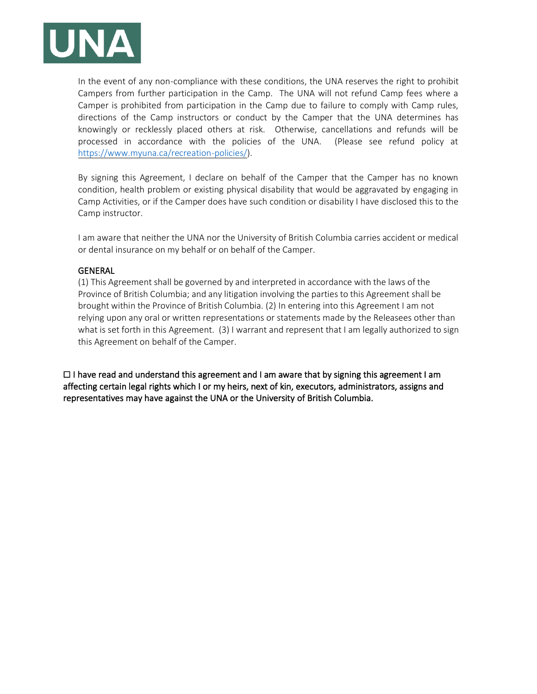

In the event of any non-compliance with these conditions, the UNA reserves the right to prohibit Campers from further participation in the Camp. The UNA will not refund Camp fees where a Camper is prohibited from participation in the Camp due to failure to comply with Camp rules, directions of the Camp instructors or conduct by the Camper that the UNA determines has knowingly or recklessly placed others at risk. Otherwise, cancellations and refunds will be processed in accordance with the policies of the UNA. (Please see refund policy at [https://www.myuna.ca/recreation-policies/\)](https://www.myuna.ca/recreation-policies/).

By signing this Agreement, I declare on behalf of the Camper that the Camper has no known condition, health problem or existing physical disability that would be aggravated by engaging in Camp Activities, or if the Camper does have such condition or disability I have disclosed this to the Camp instructor.

I am aware that neither the UNA nor the University of British Columbia carries accident or medical or dental insurance on my behalf or on behalf of the Camper.

#### GENERAL

(1) This Agreement shall be governed by and interpreted in accordance with the laws of the Province of British Columbia; and any litigation involving the parties to this Agreement shall be brought within the Province of British Columbia. (2) In entering into this Agreement I am not relying upon any oral or written representations or statements made by the Releasees other than what is set forth in this Agreement. (3) I warrant and represent that I am legally authorized to sign this Agreement on behalf of the Camper.

 $\Box$  I have read and understand this agreement and I am aware that by signing this agreement I am affecting certain legal rights which I or my heirs, next of kin, executors, administrators, assigns and representatives may have against the UNA or the University of British Columbia.